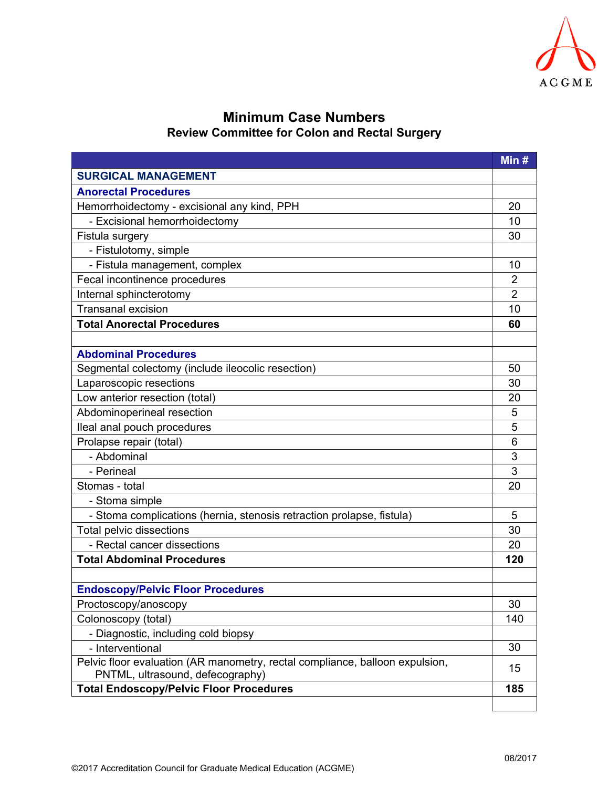

## **Minimum Case Numbers Review Committee for Colon and Rectal Surgery**

|                                                                              | Min #          |
|------------------------------------------------------------------------------|----------------|
| <b>SURGICAL MANAGEMENT</b>                                                   |                |
| <b>Anorectal Procedures</b>                                                  |                |
| Hemorrhoidectomy - excisional any kind, PPH                                  | 20             |
| - Excisional hemorrhoidectomy                                                | 10             |
| Fistula surgery                                                              | 30             |
| - Fistulotomy, simple                                                        |                |
| - Fistula management, complex                                                | 10             |
| Fecal incontinence procedures                                                | $\overline{2}$ |
| Internal sphincterotomy                                                      | $\overline{2}$ |
| <b>Transanal excision</b>                                                    | 10             |
| <b>Total Anorectal Procedures</b>                                            | 60             |
|                                                                              |                |
| <b>Abdominal Procedures</b>                                                  |                |
| Segmental colectomy (include ileocolic resection)                            | 50             |
| Laparoscopic resections                                                      | 30             |
| Low anterior resection (total)                                               | 20             |
| Abdominoperineal resection                                                   | 5              |
| lleal anal pouch procedures                                                  | 5              |
| Prolapse repair (total)                                                      | 6              |
| - Abdominal                                                                  | 3              |
| - Perineal                                                                   | 3              |
| Stomas - total                                                               | 20             |
| - Stoma simple                                                               |                |
| - Stoma complications (hernia, stenosis retraction prolapse, fistula)        | 5              |
| <b>Total pelvic dissections</b>                                              | 30             |
| - Rectal cancer dissections                                                  | 20             |
| <b>Total Abdominal Procedures</b>                                            | 120            |
| <b>Endoscopy/Pelvic Floor Procedures</b>                                     |                |
| Proctoscopy/anoscopy                                                         | 30             |
| Colonoscopy (total)                                                          | 140            |
| - Diagnostic, including cold biopsy                                          |                |
| - Interventional                                                             | 30             |
| Pelvic floor evaluation (AR manometry, rectal compliance, balloon expulsion, |                |
| PNTML, ultrasound, defecography)                                             | 15             |
| <b>Total Endoscopy/Pelvic Floor Procedures</b>                               | 185            |
|                                                                              |                |